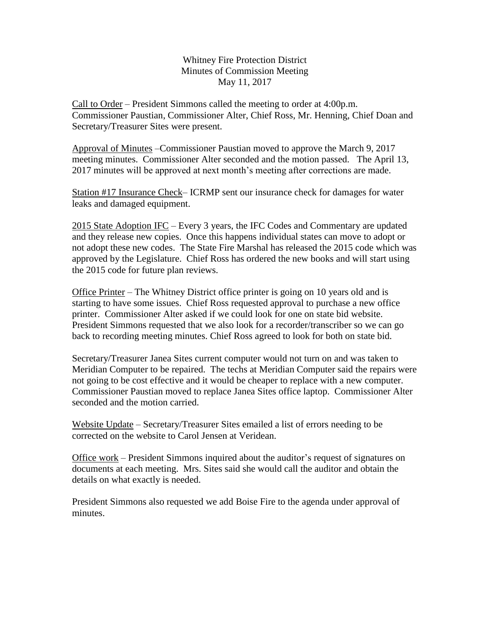Whitney Fire Protection District Minutes of Commission Meeting May 11, 2017

Call to Order – President Simmons called the meeting to order at 4:00p.m. Commissioner Paustian, Commissioner Alter, Chief Ross, Mr. Henning, Chief Doan and Secretary/Treasurer Sites were present.

Approval of Minutes –Commissioner Paustian moved to approve the March 9, 2017 meeting minutes. Commissioner Alter seconded and the motion passed. The April 13, 2017 minutes will be approved at next month's meeting after corrections are made.

Station #17 Insurance Check– ICRMP sent our insurance check for damages for water leaks and damaged equipment.

2015 State Adoption IFC – Every 3 years, the IFC Codes and Commentary are updated and they release new copies. Once this happens individual states can move to adopt or not adopt these new codes. The State Fire Marshal has released the 2015 code which was approved by the Legislature. Chief Ross has ordered the new books and will start using the 2015 code for future plan reviews.

Office Printer – The Whitney District office printer is going on 10 years old and is starting to have some issues. Chief Ross requested approval to purchase a new office printer. Commissioner Alter asked if we could look for one on state bid website. President Simmons requested that we also look for a recorder/transcriber so we can go back to recording meeting minutes. Chief Ross agreed to look for both on state bid.

Secretary/Treasurer Janea Sites current computer would not turn on and was taken to Meridian Computer to be repaired. The techs at Meridian Computer said the repairs were not going to be cost effective and it would be cheaper to replace with a new computer. Commissioner Paustian moved to replace Janea Sites office laptop. Commissioner Alter seconded and the motion carried.

Website Update – Secretary/Treasurer Sites emailed a list of errors needing to be corrected on the website to Carol Jensen at Veridean.

Office work – President Simmons inquired about the auditor's request of signatures on documents at each meeting. Mrs. Sites said she would call the auditor and obtain the details on what exactly is needed.

President Simmons also requested we add Boise Fire to the agenda under approval of minutes.